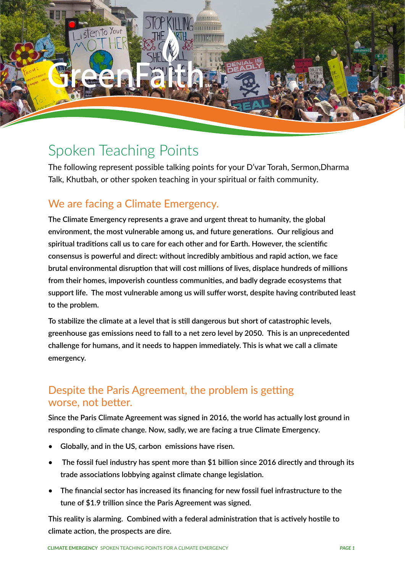

# Spoken Teaching Points

The following represent possible talking points for your D'var Torah, Sermon,Dharma Talk, Khutbah, or other spoken teaching in your spiritual or faith community.

## We are facing a Climate Emergency.

**The Climate Emergency represents a grave and urgent threat to humanity, the global environment, the most vulnerable among us, and future generations. Our religious and spiritual traditions call us to care for each other and for Earth. However, the scientific consensus is powerful and direct: without incredibly ambitious and rapid action, we face brutal environmental disruption that will cost millions of lives, displace hundreds of millions from their homes, impoverish countless communities, and badly degrade ecosystems that support life. The most vulnerable among us will suffer worst, despite having contributed least to the problem.** 

**To stabilize the climate at a level that is still dangerous but short of catastrophic levels, greenhouse gas emissions need to fall to a net zero level by 2050. This is an unprecedented challenge for humans, and it needs to happen immediately. This is what we call a climate emergency.**

### Despite the Paris Agreement, the problem is getting worse, not better.

**Since the Paris Climate Agreement was signed in 2016, the world has actually lost ground in responding to climate change. Now, sadly, we are facing a true Climate Emergency.**

- **• Globally, and in the US, carbon emissions have risen.**
- **• The fossil fuel industry has spent more than \$1 billion since 2016 directly and through its trade associations lobbying against climate change legislation.**
- **• The financial sector has increased its financing for new fossil fuel infrastructure to the tune of \$1.9 trillion since the Paris Agreement was signed.**

**This reality is alarming. Combined with a federal administration that is actively hostile to climate action, the prospects are dire.**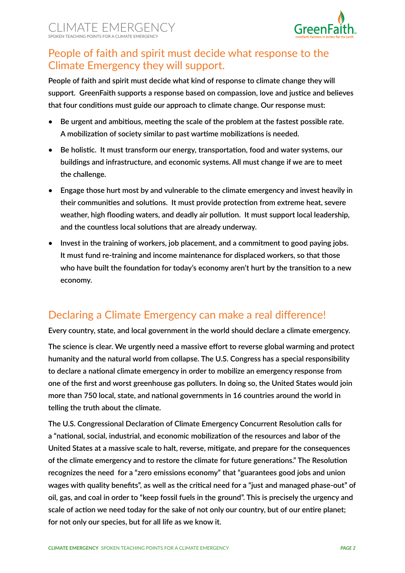

### People of faith and spirit must decide what response to the Climate Emergency they will support.

**People of faith and spirit must decide what kind of response to climate change they will support. GreenFaith supports a response based on compassion, love and justice and believes that four conditions must guide our approach to climate change. Our response must:**

- **• Be urgent and ambitious, meeting the scale of the problem at the fastest possible rate. A mobilization of society similar to past wartime mobilizations is needed.**
- **• Be holistic. It must transform our energy, transportation, food and water systems, our buildings and infrastructure, and economic systems. All must change if we are to meet the challenge.**
- **• Engage those hurt most by and vulnerable to the climate emergency and invest heavily in their communities and solutions. It must provide protection from extreme heat, severe weather, high flooding waters, and deadly air pollution. It must support local leadership, and the countless local solutions that are already underway.**
- **• Invest in the training of workers, job placement, and a commitment to good paying jobs. It must fund re-training and income maintenance for displaced workers, so that those who have built the foundation for today's economy aren't hurt by the transition to a new economy.**

### Declaring a Climate Emergency can make a real difference!

**Every country, state, and local government in the world should declare a climate emergency.**

**The science is clear. We urgently need a massive effort to reverse global warming and protect humanity and the natural world from collapse. The U.S. Congress has a special responsibility to declare a national climate emergency in order to mobilize an emergency response from one of the first and worst greenhouse gas polluters. In doing so, the United States would join more than 750 local, state, and national governments in 16 countries around the world in telling the truth about the climate.**

**The U.S. Congressional Declaration of Climate Emergency Concurrent Resolution calls for a "national, social, industrial, and economic mobilization of the resources and labor of the United States at a massive scale to halt, reverse, mitigate, and prepare for the consequences of the climate emergency and to restore the climate for future generations." The Resolution recognizes the need for a "zero emissions economy" that "guarantees good jobs and union wages with quality benefits", as well as the critical need for a "just and managed phase-out" of oil, gas, and coal in order to "keep fossil fuels in the ground". This is precisely the urgency and scale of action we need today for the sake of not only our country, but of our entire planet; for not only our species, but for all life as we know it.**